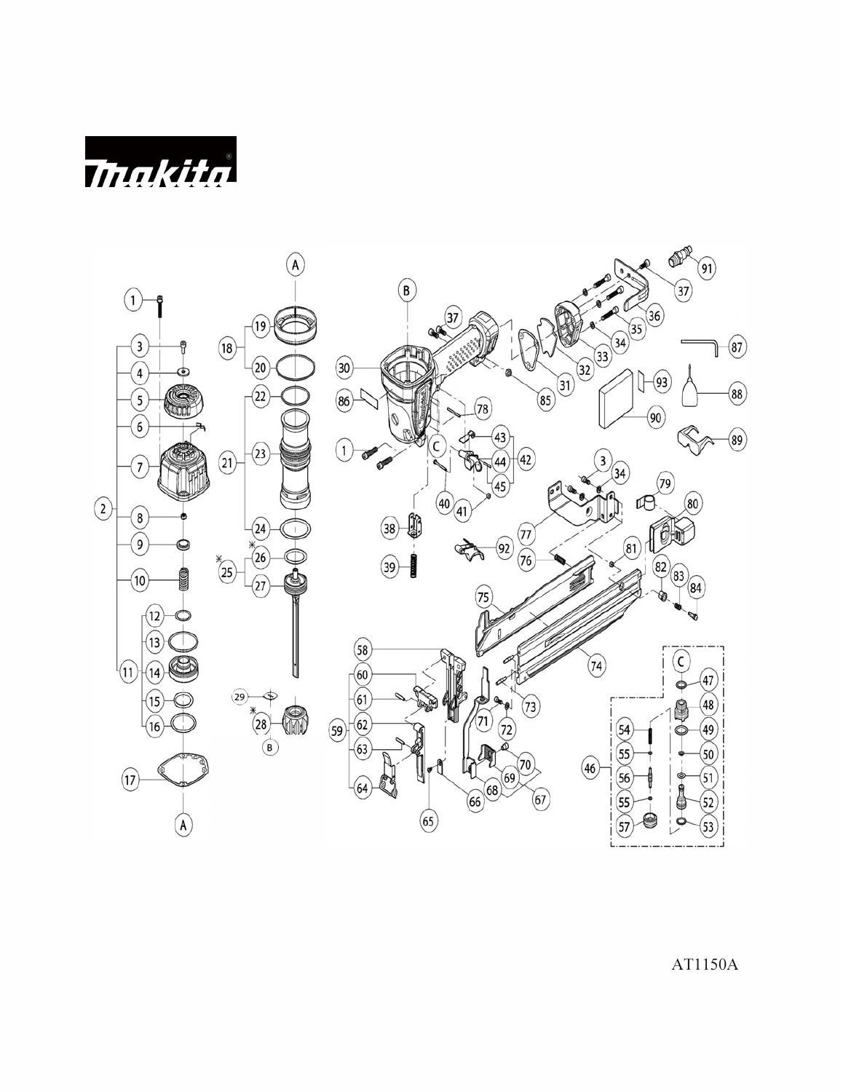*Makita* 



AT1150A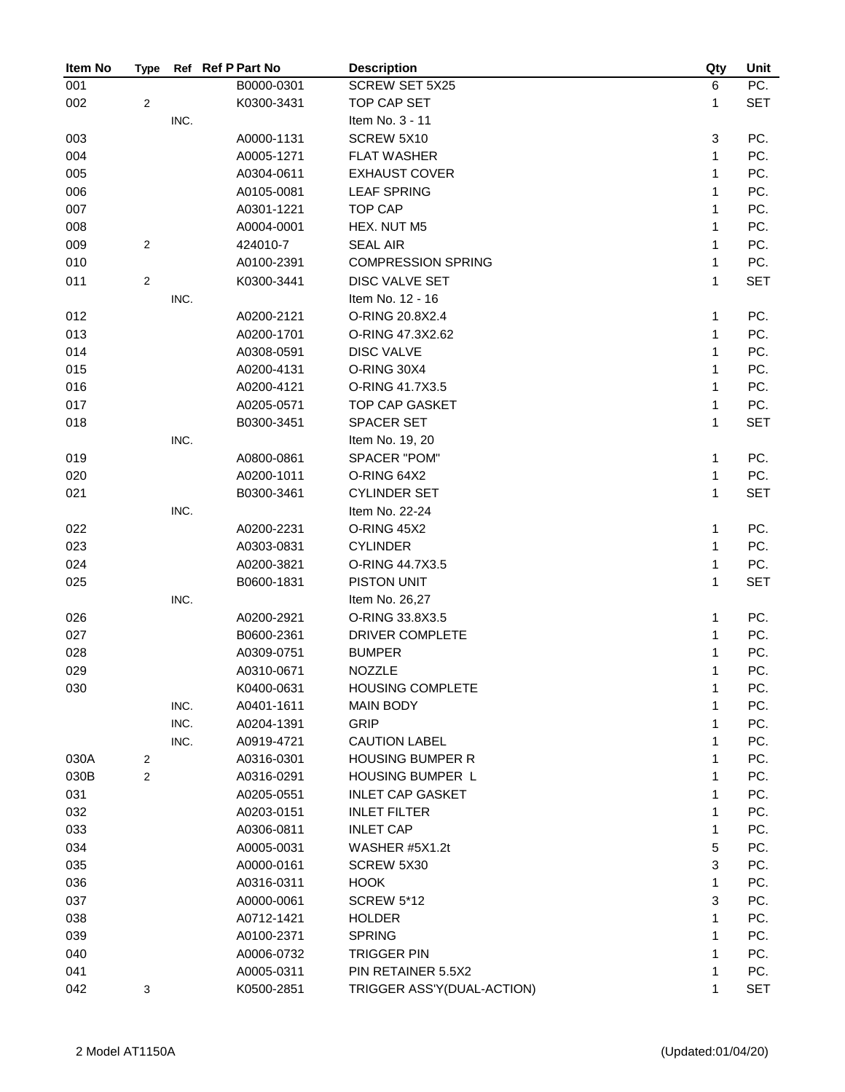| Item No | <b>Type</b>    |      | Ref Ref P Part No | <b>Description</b>         | Qty          | Unit       |
|---------|----------------|------|-------------------|----------------------------|--------------|------------|
| 001     |                |      | B0000-0301        | <b>SCREW SET 5X25</b>      | 6            | PC.        |
| 002     | $\overline{c}$ |      | K0300-3431        | TOP CAP SET                | 1            | <b>SET</b> |
|         |                | INC. |                   | Item No. 3 - 11            |              |            |
| 003     |                |      | A0000-1131        | SCREW 5X10                 | 3            | PC.        |
| 004     |                |      | A0005-1271        | <b>FLAT WASHER</b>         | $\mathbf{1}$ | PC.        |
| 005     |                |      | A0304-0611        | <b>EXHAUST COVER</b>       | 1            | PC.        |
| 006     |                |      | A0105-0081        | <b>LEAF SPRING</b>         | 1            | PC.        |
| 007     |                |      | A0301-1221        | <b>TOP CAP</b>             | 1            | PC.        |
| 008     |                |      | A0004-0001        | HEX. NUT M5                | 1            | PC.        |
| 009     | $\overline{2}$ |      | 424010-7          | <b>SEAL AIR</b>            | 1            | PC.        |
| 010     |                |      | A0100-2391        | <b>COMPRESSION SPRING</b>  | 1            | PC.        |
| 011     | $\sqrt{2}$     |      | K0300-3441        | DISC VALVE SET             | 1            | <b>SET</b> |
|         |                | INC. |                   | Item No. 12 - 16           |              |            |
| 012     |                |      | A0200-2121        | O-RING 20.8X2.4            | 1            | PC.        |
| 013     |                |      | A0200-1701        | O-RING 47.3X2.62           | 1            | PC.        |
| 014     |                |      | A0308-0591        | <b>DISC VALVE</b>          | 1            | PC.        |
| 015     |                |      | A0200-4131        | O-RING 30X4                | 1            | PC.        |
| 016     |                |      | A0200-4121        | O-RING 41.7X3.5            | $\mathbf{1}$ | PC.        |
| 017     |                |      | A0205-0571        | <b>TOP CAP GASKET</b>      | 1            | PC.        |
| 018     |                |      | B0300-3451        | <b>SPACER SET</b>          | 1            | <b>SET</b> |
|         |                | INC. |                   | Item No. 19, 20            |              |            |
| 019     |                |      | A0800-0861        | SPACER "POM"               | $\mathbf{1}$ | PC.        |
| 020     |                |      | A0200-1011        | O-RING 64X2                | 1            | PC.        |
| 021     |                |      | B0300-3461        | <b>CYLINDER SET</b>        | 1            | <b>SET</b> |
|         |                | INC. |                   | Item No. 22-24             |              |            |
| 022     |                |      | A0200-2231        | <b>O-RING 45X2</b>         | 1            | PC.        |
| 023     |                |      | A0303-0831        | <b>CYLINDER</b>            | 1            | PC.        |
| 024     |                |      | A0200-3821        | O-RING 44.7X3.5            | 1            | PC.        |
| 025     |                |      | B0600-1831        | PISTON UNIT                | 1            | <b>SET</b> |
|         |                | INC. |                   | Item No. 26,27             |              |            |
| 026     |                |      | A0200-2921        | O-RING 33.8X3.5            | 1            | PC.        |
| 027     |                |      | B0600-2361        | DRIVER COMPLETE            | 1            | PC.        |
| 028     |                |      | A0309-0751        | <b>BUMPER</b>              | 1            | PC.        |
| 029     |                |      | A0310-0671        | <b>NOZZLE</b>              | 1            | PC.        |
| 030     |                |      | K0400-0631        | <b>HOUSING COMPLETE</b>    | 1            | PC.        |
|         |                | INC. | A0401-1611        | <b>MAIN BODY</b>           | 1            | PC.        |
|         |                | INC. | A0204-1391        | <b>GRIP</b>                | 1            | PC.        |
|         |                | INC. | A0919-4721        | <b>CAUTION LABEL</b>       | 1            | PC.        |
| 030A    | $\overline{2}$ |      | A0316-0301        | <b>HOUSING BUMPER R</b>    | 1            | PC.        |
| 030B    | $\overline{c}$ |      | A0316-0291        | <b>HOUSING BUMPER L</b>    | 1            | PC.        |
| 031     |                |      | A0205-0551        | <b>INLET CAP GASKET</b>    | 1            | PC.        |
| 032     |                |      | A0203-0151        | <b>INLET FILTER</b>        | 1            | PC.        |
| 033     |                |      | A0306-0811        | <b>INLET CAP</b>           | 1            | PC.        |
| 034     |                |      | A0005-0031        | WASHER #5X1.2t             | 5            | PC.        |
| 035     |                |      | A0000-0161        | SCREW 5X30                 | 3            | PC.        |
| 036     |                |      | A0316-0311        | <b>HOOK</b>                | 1            | PC.        |
| 037     |                |      | A0000-0061        | <b>SCREW 5*12</b>          | 3            | PC.        |
| 038     |                |      | A0712-1421        | <b>HOLDER</b>              | 1            | PC.        |
| 039     |                |      | A0100-2371        | <b>SPRING</b>              | 1            | PC.        |
| 040     |                |      | A0006-0732        | <b>TRIGGER PIN</b>         | 1            | PC.        |
| 041     |                |      | A0005-0311        | PIN RETAINER 5.5X2         | 1            | PC.        |
| 042     | 3              |      | K0500-2851        | TRIGGER ASS'Y(DUAL-ACTION) | 1            | <b>SET</b> |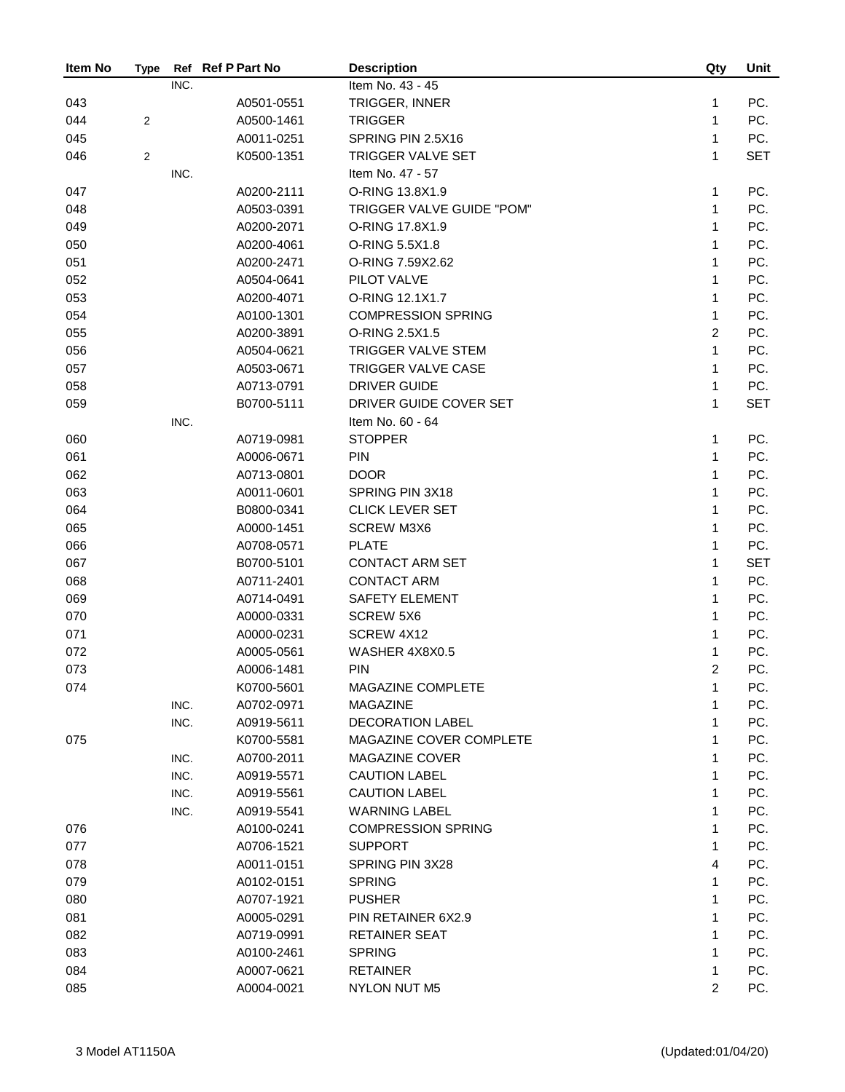| Item No    | <b>Type</b>    | Ref  | <b>Ref P Part No</b>     | <b>Description</b>               | Qty            | Unit       |
|------------|----------------|------|--------------------------|----------------------------------|----------------|------------|
|            |                | INC. |                          | Item No. 43 - 45                 |                |            |
| 043        |                |      | A0501-0551               | TRIGGER, INNER                   | 1              | PC.        |
| 044        | 2              |      | A0500-1461               | <b>TRIGGER</b>                   | 1              | PC.        |
| 045        |                |      | A0011-0251               | SPRING PIN 2.5X16                | 1              | PC.        |
| 046        | $\overline{2}$ |      | K0500-1351               | TRIGGER VALVE SET                | 1              | <b>SET</b> |
|            |                | INC. |                          | Item No. 47 - 57                 |                |            |
| 047        |                |      | A0200-2111               | O-RING 13.8X1.9                  | 1              | PC.        |
| 048        |                |      | A0503-0391               | TRIGGER VALVE GUIDE "POM"        | 1              | PC.        |
| 049        |                |      | A0200-2071               | O-RING 17.8X1.9                  | 1              | PC.        |
| 050        |                |      | A0200-4061               | O-RING 5.5X1.8                   | 1              | PC.        |
| 051        |                |      | A0200-2471               | O-RING 7.59X2.62                 | 1              | PC.        |
| 052        |                |      | A0504-0641               | PILOT VALVE                      | 1              | PC.        |
| 053        |                |      | A0200-4071               | O-RING 12.1X1.7                  | 1              | PC.        |
| 054        |                |      | A0100-1301               | <b>COMPRESSION SPRING</b>        | 1              | PC.        |
| 055        |                |      | A0200-3891               | O-RING 2.5X1.5                   | $\overline{2}$ | PC.        |
| 056        |                |      | A0504-0621               | TRIGGER VALVE STEM               | 1              | PC.        |
| 057        |                |      | A0503-0671               | TRIGGER VALVE CASE               | 1              | PC.        |
| 058        |                |      | A0713-0791               | <b>DRIVER GUIDE</b>              | 1              | PC.        |
| 059        |                |      | B0700-5111               | DRIVER GUIDE COVER SET           | 1              | <b>SET</b> |
|            |                | INC. |                          | Item No. 60 - 64                 |                |            |
| 060        |                |      | A0719-0981               | <b>STOPPER</b>                   | 1              | PC.        |
| 061        |                |      | A0006-0671               | <b>PIN</b>                       | 1              | PC.        |
| 062        |                |      | A0713-0801               | <b>DOOR</b>                      | 1              | PC.        |
| 063        |                |      | A0011-0601               | SPRING PIN 3X18                  | 1              | PC.        |
| 064        |                |      | B0800-0341               | <b>CLICK LEVER SET</b>           | 1              | PC.        |
| 065        |                |      | A0000-1451               | <b>SCREW M3X6</b>                | 1              | PC.        |
| 066        |                |      | A0708-0571               | <b>PLATE</b>                     | 1              | PC.        |
| 067        |                |      | B0700-5101               | <b>CONTACT ARM SET</b>           | 1              | <b>SET</b> |
| 068        |                |      | A0711-2401               | <b>CONTACT ARM</b>               | 1              | PC.        |
| 069        |                |      | A0714-0491               | <b>SAFETY ELEMENT</b>            | 1              | PC.        |
| 070        |                |      | A0000-0331               | <b>SCREW 5X6</b>                 | 1              | PC.        |
| 071        |                |      | A0000-0231               | SCREW 4X12                       | 1              | PC.        |
| 072        |                |      | A0005-0561               | WASHER 4X8X0.5                   | 1              | PC.        |
| 073        |                |      | A0006-1481               | <b>PIN</b>                       | $\overline{2}$ | PC.        |
|            |                |      |                          | MAGAZINE COMPLETE                | 1              | PC.        |
| 074        |                | INC. | K0700-5601<br>A0702-0971 | MAGAZINE                         | 1              | PC.        |
|            |                | INC. | A0919-5611               | <b>DECORATION LABEL</b>          | 1              | PC.        |
| 075        |                |      | K0700-5581               | MAGAZINE COVER COMPLETE          | 1              | PC.        |
|            |                | INC. | A0700-2011               | <b>MAGAZINE COVER</b>            | 1              | PC.        |
|            |                | INC. | A0919-5571               | <b>CAUTION LABEL</b>             | 1              | PC.        |
|            |                | INC. | A0919-5561               | <b>CAUTION LABEL</b>             | 1              | PC.        |
|            |                | INC. | A0919-5541               | <b>WARNING LABEL</b>             | 1              | PC.        |
|            |                |      |                          | <b>COMPRESSION SPRING</b>        | 1              | PC.        |
| 076<br>077 |                |      | A0100-0241               | <b>SUPPORT</b>                   | 1              | PC.        |
|            |                |      | A0706-1521               |                                  |                |            |
| 078<br>079 |                |      | A0011-0151<br>A0102-0151 | SPRING PIN 3X28<br><b>SPRING</b> | 4<br>1         | PC.<br>PC. |
| 080        |                |      | A0707-1921               | <b>PUSHER</b>                    | 1              | PC.        |
| 081        |                |      | A0005-0291               | PIN RETAINER 6X2.9               | 1              | PC.        |
| 082        |                |      | A0719-0991               | <b>RETAINER SEAT</b>             | 1              | PC.        |
| 083        |                |      | A0100-2461               | <b>SPRING</b>                    | 1              | PC.        |
| 084        |                |      | A0007-0621               | <b>RETAINER</b>                  | 1              | PC.        |
| 085        |                |      | A0004-0021               | NYLON NUT M5                     | $\overline{2}$ | PC.        |
|            |                |      |                          |                                  |                |            |